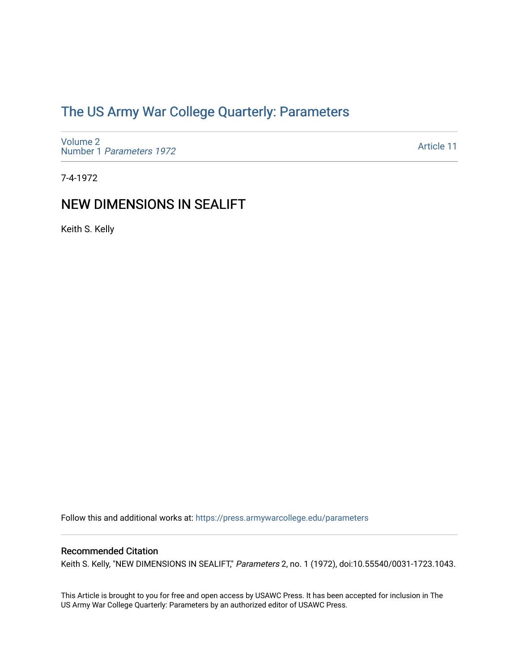# [The US Army War College Quarterly: Parameters](https://press.armywarcollege.edu/parameters)

[Volume 2](https://press.armywarcollege.edu/parameters/vol2) Number 1 [Parameters 1972](https://press.armywarcollege.edu/parameters/vol2/iss1) 

[Article 11](https://press.armywarcollege.edu/parameters/vol2/iss1/11) 

7-4-1972

# NEW DIMENSIONS IN SEALIFT

Keith S. Kelly

Follow this and additional works at: [https://press.armywarcollege.edu/parameters](https://press.armywarcollege.edu/parameters?utm_source=press.armywarcollege.edu%2Fparameters%2Fvol2%2Fiss1%2F11&utm_medium=PDF&utm_campaign=PDFCoverPages) 

# Recommended Citation

Keith S. Kelly, "NEW DIMENSIONS IN SEALIFT," Parameters 2, no. 1 (1972), doi:10.55540/0031-1723.1043.

This Article is brought to you for free and open access by USAWC Press. It has been accepted for inclusion in The US Army War College Quarterly: Parameters by an authorized editor of USAWC Press.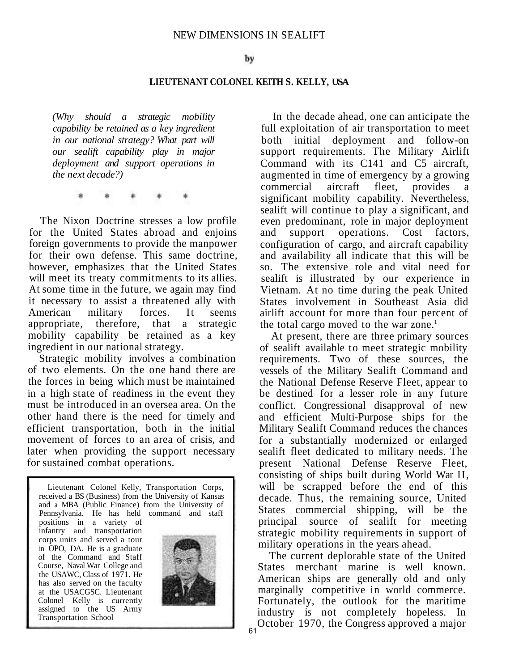#### **LIEUTENANT COLONEL KEITH S. KELLY, USA**

*(Why should a strategic mobility capability be retained as a key ingredient in our national strategy? What part will our sealift capability play in major deployment and support operations in the next decade?)* 

The Nixon Doctrine stresses a low profile for the United States abroad and enjoins foreign governments to provide the manpower for their own defense. This same doctrine, however, emphasizes that the United States will meet its treaty commitments to its allies. At some time in the future, we again may find it necessary to assist a threatened ally with American military forces. It seems appropriate, therefore, that a strategic mobility capability be retained as a key ingredient in our national strategy.

Strategic mobility involves a combination of two elements. On the one hand there are the forces in being which must be maintained in a high state of readiness in the event they must be introduced in an oversea area. On the other hand there is the need for timely and efficient transportation, both in the initial movement of forces to an area of crisis, and later when providing the support necessary for sustained combat operations.

Lieutenant Colonel Kelly, Transportation Corps, received a BS (Business) from the University of Kansas and a MBA (Public Finance) from the University of Pennsylvania. He has held command and staff

positions in a variety of infantry and transportation corps units and served a tour in OPO, DA. He is a graduate of the Command and Staff Course, Naval War College and the USAWC, Class of 1971. He has also served on the faculty at the USACGSC. Lieutenant Colonel Kelly is currently assigned to the US Army Transportation School

Ë



In the decade ahead, one can anticipate the full exploitation of air transportation to meet both initial deployment and follow-on support requirements. The Military Airlift Command with its C141 and C5 aircraft, augmented in time of emergency by a growing commercial aircraft fleet, provides a significant mobility capability. Nevertheless, sealift will continue to play a significant, and even predominant, role in major deployment and support operations. Cost factors, configuration of cargo, and aircraft capability and availability all indicate that this will be so. The extensive role and vital need for sealift is illustrated by our experience in Vietnam. At no time during the peak United States involvement in Southeast Asia did airlift account for more than four percent of the total cargo moved to the war zone.<sup>1</sup>

At present, there are three primary sources of sealift available to meet strategic mobility requirements. Two of these sources, the vessels of the Military Sealift Command and the National Defense Reserve Fleet, appear to be destined for a lesser role in any future conflict. Congressional disapproval of new and efficient Multi-Purpose ships for the Military Sealift Command reduces the chances for a substantially modernized or enlarged sealift fleet dedicated to military needs. The present National Defense Reserve Fleet, consisting of ships built during World War II, will be scrapped before the end of this decade. Thus, the remaining source, United States commercial shipping, will be the principal source of sealift for meeting strategic mobility requirements in support of military operations in the years ahead.

The current deplorable state of the United States merchant marine is well known. American ships are generally old and only marginally competitive in world commerce. Fortunately, the outlook for the maritime industry is not completely hopeless. In October 1970, the Congress approved a major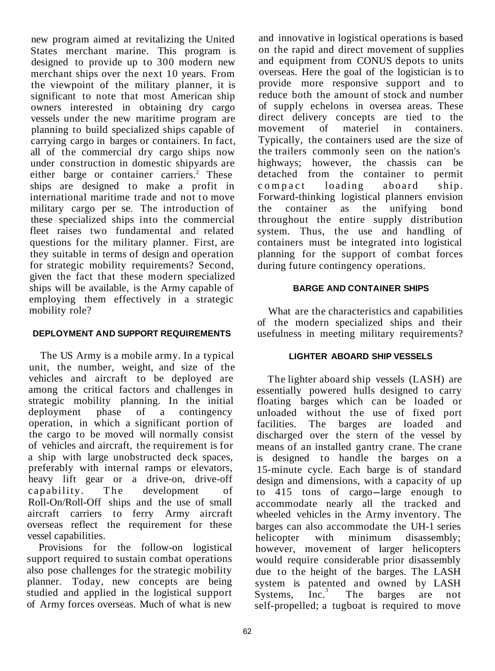new program aimed at revitalizing the United States merchant marine. This program is designed to provide up to 300 modern new merchant ships over the next 10 years. From the viewpoint of the military planner, it is significant to note that most American ship owners interested in obtaining dry cargo vessels under the new maritime program are planning to build specialized ships capable of carrying cargo in barges or containers. In fact, all of the commercial dry cargo ships now under construction in domestic shipyards are either barge or container carriers.<sup>2</sup> These ships are designed to make a profit in international maritime trade and not to move military cargo per se. The introduction of these specialized ships into the commercial fleet raises two fundamental and related questions for the military planner. First, are they suitable in terms of design and operation for strategic mobility requirements? Second, given the fact that these modern specialized ships will be available, is the Army capable of employing them effectively in a strategic mobility role?

## **DEPLOYMENT AND SUPPORT REQUIREMENTS**

The US Army is a mobile army. In a typical unit, the number, weight, and size of the vehicles and aircraft to be deployed are among the critical factors and challenges in strategic mobility planning. In the initial deployment phase of a contingency deployment phase of a contingency operation, in which a significant portion of the cargo to be moved will normally consist of vehicles and aircraft, the requirement is for a ship with large unobstructed deck spaces, preferably with internal ramps or elevators, heavy lift gear or a drive-on, drive-off capability. The development of Roll-On/Roll-Off ships and the use of small aircraft carriers to ferry Army aircraft overseas reflect the requirement for these vessel capabilities.

Provisions for the follow-on logistical support required to sustain combat operations also pose challenges for the strategic mobility planner. Today, new concepts are being studied and applied in the logistical support of Army forces overseas. Much of what is new

and innovative in logistical operations is based on the rapid and direct movement of supplies and equipment from CONUS depots to units overseas. Here the goal of the logistician is to provide more responsive support and to reduce both the amount of stock and number of supply echelons in oversea areas. These direct delivery concepts are tied to the<br>movement of materiel in containers containers Typically, the containers used are the size of the trailers commonly seen on the nation's highways; however, the chassis can be detached from the container to permit<br>compact loading aboard ship. compact loading aboard ship. Forward-thinking logistical planners envision the container as the unifying bond throughout the entire supply distribution system. Thus, the use and handling of containers must be integrated into logistical planning for the support of combat forces during future contingency operations.

# **BARGE AND CONTAINER SHIPS**

What are the characteristics and capabilities of the modern specialized ships and their usefulness in meeting military requirements?

#### **LIGHTER ABOARD SHIP VESSELS**

The lighter aboard ship vessels (LASH) are essentially powered hulls designed to carry floating barges which can be loaded or unloaded without the use of fixed port facilities. The barges are loaded and discharged over the stern of the vessel by means of an installed gantry crane. The crane is designed to handle the barges on a 15-minute cycle. Each barge is of standard design and dimensions, with a capacity of up to 415 tons of cargo-large enough to accommodate nearly all the tracked and wheeled vehicles in the Army inventory. The barges can also accommodate the UH-1 series helicopter with minimum disassembly; however, movement of larger helicopters would require considerable prior disassembly due to the height of the barges. The LASH system is patented and owned by LASH<br>Systems, Inc.<sup>3</sup> The barges are not Systems, Inc.<sup>3</sup> The barges are not self-propelled; a tugboat is required to move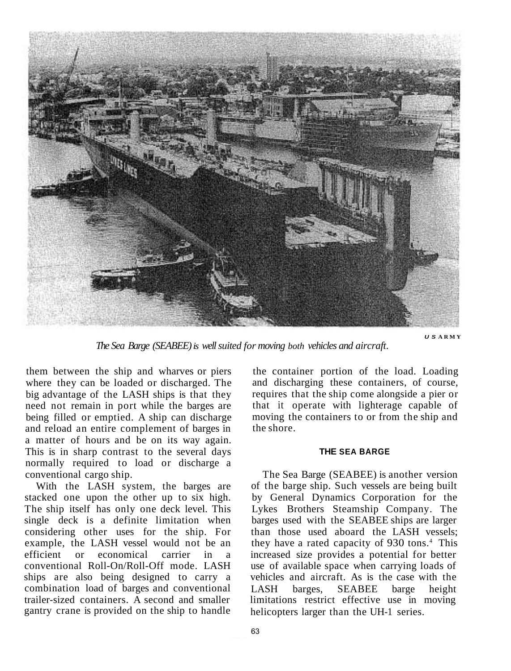

*The Sea Barge (SEABEE) is well suited for moving both vehicles and aircraft*.

*U S* **ARMY** 

them between the ship and wharves or piers where they can be loaded or discharged. The big advantage of the LASH ships is that they need not remain in port while the barges are being filled or emptied. A ship can discharge and reload an entire complement of barges in a matter of hours and be on its way again. This is in sharp contrast to the several days normally required to load or discharge a conventional cargo ship.

With the LASH system, the barges are stacked one upon the other up to six high. The ship itself has only one deck level. This single deck is a definite limitation when considering other uses for the ship. For example, the LASH vessel would not be an efficient or economical carrier in a economical carrier in conventional Roll-On/Roll-Off mode. LASH ships are also being designed to carry a combination load of barges and conventional trailer-sized containers. A second and smaller gantry crane is provided on the ship to handle the container portion of the load. Loading and discharging these containers, of course, requires that the ship come alongside a pier or that it operate with lighterage capable of moving the containers to or from the ship and the shore.

#### **THE SEA BARGE**

The Sea Barge (SEABEE) is another version of the barge ship. Such vessels are being built by General Dynamics Corporation for the Lykes Brothers Steamship Company. The barges used with the SEABEE ships are larger than those used aboard the LASH vessels; they have a rated capacity of 930 tons.<sup>4</sup> This increased size provides a potential for better use of available space when carrying loads of vehicles and aircraft. As is the case with the LASH barges, SEABEE barge height limitations restrict effective use in moving helicopters larger than the UH-1 series.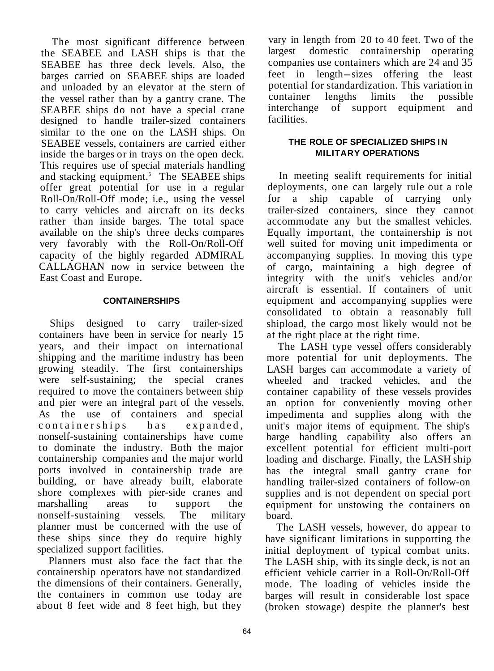The most significant difference between the SEABEE and LASH ships is that the SEABEE has three deck levels. Also, the barges carried on SEABEE ships are loaded and unloaded by an elevator at the stern of the vessel rather than by a gantry crane. The SEABEE ships do not have a special crane designed to handle trailer-sized containers similar to the one on the LASH ships. On SEABEE vessels, containers are carried either inside the barges or in trays on the open deck. This requires use of special materials handling and stacking equipment.<sup>5</sup> The SEABEE ships offer great potential for use in a regular Roll-On/Roll-Off mode; i.e., using the vessel to carry vehicles and aircraft on its decks rather than inside barges. The total space available on the ship's three decks compares very favorably with the Roll-On/Roll-Off capacity of the highly regarded ADMIRAL CALLAGHAN now in service between the East Coast and Europe.

# **CONTAINERSHIPS**

Ships designed to carry trailer-sized containers have been in service for nearly 15 years, and their impact on international shipping and the maritime industry has been growing steadily. The first containerships were self-sustaining; the special cranes required to move the containers between ship and pier were an integral part of the vessels. As the use of containers and special containerships has expanded, nonself-sustaining containerships have come to dominate the industry. Both the major containership companies and the major world ports involved in containership trade are building, or have already built, elaborate shore complexes with pier-side cranes and marshalling areas to support the nonself-sustaining vessels. The military planner must be concerned with the use of these ships since they do require highly specialized support facilities.

Planners must also face the fact that the containership operators have not standardized the dimensions of their containers. Generally, the containers in common use today are about 8 feet wide and 8 feet high, but they

vary in length from 20 to 40 feet. Two of the largest domestic containership operating companies use containers which are 24 and 35 feet in length-sizes offering the least potential for standardization. This variation in container lengths limits the possible<br>interchange of support equipment and interchange of support equipment facilities.

## **THE ROLE OF SPECIALIZED SHIPS IN MILITARY OPERATIONS**

In meeting sealift requirements for initial deployments, one can largely rule out a role for a ship capable of carrying only trailer-sized containers, since they cannot accommodate any but the smallest vehicles. Equally important, the containership is not well suited for moving unit impedimenta or accompanying supplies. In moving this type of cargo, maintaining a high degree of integrity with the unit's vehicles and/or aircraft is essential. If containers of unit equipment and accompanying supplies were consolidated to obtain a reasonably full shipload, the cargo most likely would not be at the right place at the right time.

The LASH type vessel offers considerably more potential for unit deployments. The LASH barges can accommodate a variety of wheeled and tracked vehicles, and the container capability of these vessels provides an option for conveniently moving other impedimenta and supplies along with the unit's major items of equipment. The ship's barge handling capability also offers an excellent potential for efficient multi-port loading and discharge. Finally, the LASH ship has the integral small gantry crane for handling trailer-sized containers of follow-on supplies and is not dependent on special port equipment for unstowing the containers on board.

The LASH vessels, however, do appear to have significant limitations in supporting the initial deployment of typical combat units. The LASH ship, with its single deck, is not an efficient vehicle carrier in a Roll-On/Roll-Off mode. The loading of vehicles inside the barges will result in considerable lost space (broken stowage) despite the planner's best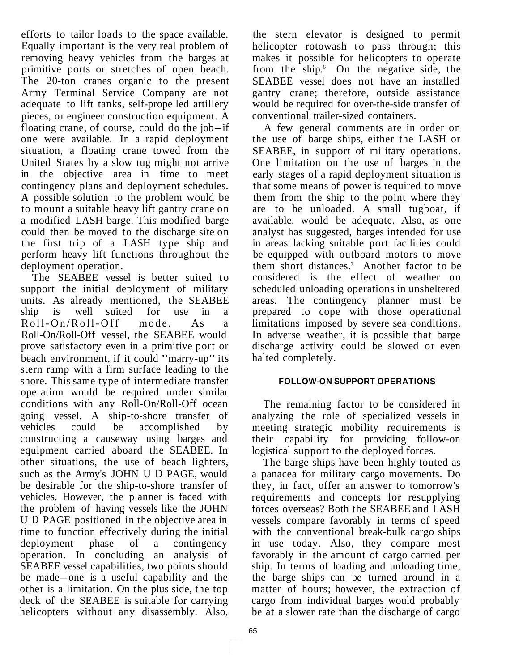efforts to tailor loads to the space available. Equally important is the very real problem of removing heavy vehicles from the barges at primitive ports or stretches of open beach. The 20-ton cranes organic to the present Army Terminal Service Company are not adequate to lift tanks, self-propelled artillery pieces, or engineer construction equipment. A floating crane, of course, could do the job-if one were available. In a rapid deployment situation, a floating crane towed from the United States by a slow tug might not arrive in the objective area in time to meet contingency plans and deployment schedules. **A** possible solution to the problem would be to mount a suitable heavy lift gantry crane on a modified LASH barge. This modified barge could then be moved to the discharge site on the first trip of a LASH type ship and perform heavy lift functions throughout the deployment operation.

The SEABEE vessel is better suited to support the initial deployment of military units. As already mentioned, the SEABEE ship is well suited for use in a<br>Roll-On/Roll-Off mode. As a Roll-On/Roll-Off mode. As a Roll-On/Roll-Off vessel, the SEABEE would prove satisfactory even in a primitive port or beach environment, if it could "marry-up" its stern ramp with a firm surface leading to the shore. This same type of intermediate transfer operation would be required under similar conditions with any Roll-On/Roll-Off ocean going vessel. A ship-to-shore transfer of<br>vehicles could be accomplished by vehicles could be accomplished by constructing a causeway using barges and equipment carried aboard the SEABEE. In other situations, the use of beach lighters, such as the Army's JOHN U D PAGE, would be desirable for the ship-to-shore transfer of vehicles. However, the planner is faced with the problem of having vessels like the JOHN U D PAGE positioned in the objective area in time to function effectively during the initial deployment phase of a contingency operation. In concluding an analysis of SEABEE vessel capabilities, two points should be made-one is a useful capability and the other is a limitation. On the plus side, the top deck of the SEABEE is suitable for carrying helicopters without any disassembly. Also,

the stern elevator is designed to permit helicopter rotowash to pass through; this makes it possible for helicopters to operate from the ship.<sup>6</sup> On the negative side, the SEABEE vessel does not have an installed gantry crane; therefore, outside assistance would be required for over-the-side transfer of conventional trailer-sized containers.

A few general comments are in order on the use of barge ships, either the LASH or SEABEE, in support of military operations. One limitation on the use of barges in the early stages of a rapid deployment situation is that some means of power is required to move them from the ship to the point where they are to be unloaded. A small tugboat, if available, would be adequate. Also, as one analyst has suggested, barges intended for use in areas lacking suitable port facilities could be equipped with outboard motors to move them short distances.<sup>7</sup> Another factor to be considered is the effect of weather on scheduled unloading operations in unsheltered areas. The contingency planner must be prepared to cope with those operational limitations imposed by severe sea conditions. In adverse weather, it is possible that barge discharge activity could be slowed or even halted completely.

## **FOLLOW-ON SUPPORT OPERATIONS**

The remaining factor to be considered in analyzing the role of specialized vessels in meeting strategic mobility requirements is their capability for providing follow-on logistical support to the deployed forces.

The barge ships have been highly touted as a panacea for military cargo movements. Do they, in fact, offer an answer to tomorrow's requirements and concepts for resupplying forces overseas? Both the SEABEE and LASH vessels compare favorably in terms of speed with the conventional break-bulk cargo ships in use today. Also, they compare most favorably in the amount of cargo carried per ship. In terms of loading and unloading time, the barge ships can be turned around in a matter of hours; however, the extraction of cargo from individual barges would probably be at a slower rate than the discharge of cargo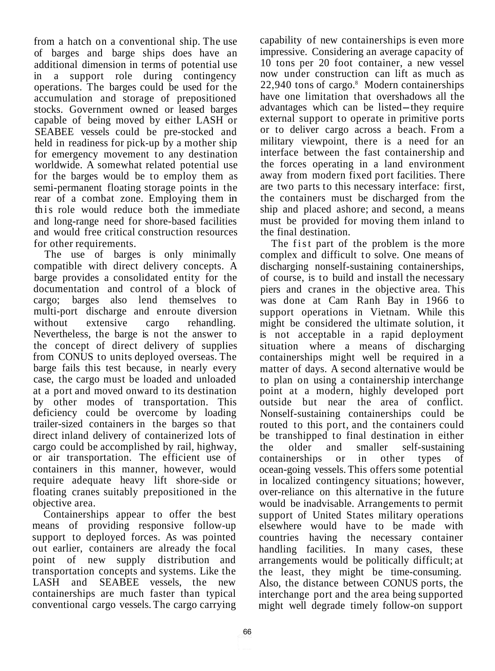from a hatch on a conventional ship. The use of barges and barge ships does have an additional dimension in terms of potential use in a support role during contingency operations. The barges could be used for the accumulation and storage of prepositioned stocks. Government owned or leased barges capable of being moved by either LASH or SEABEE vessels could be pre-stocked and held in readiness for pick-up by a mother ship for emergency movement to any destination worldwide. A somewhat related potential use for the barges would be to employ them as semi-permanent floating storage points in the rear of a combat zone. Employing them in this role would reduce both the immediate and long-range need for shore-based facilities and would free critical construction resources for other requirements.

The use of barges is only minimally compatible with direct delivery concepts. A barge provides a consolidated entity for the documentation and control of a block of cargo; barges also lend themselves to multi-port discharge and enroute diversion without extensive cargo rehandling. Nevertheless, the barge is not the answer to the concept of direct delivery of supplies from CONUS to units deployed overseas. The barge fails this test because, in nearly every case, the cargo must be loaded and unloaded at a port and moved onward to its destination by other modes of transportation. This deficiency could be overcome by loading trailer-sized containers in the barges so that direct inland delivery of containerized lots of cargo could be accomplished by rail, highway, or air transportation. The efficient use of containers in this manner, however, would require adequate heavy lift shore-side or floating cranes suitably prepositioned in the objective area.

Containerships appear to offer the best means of providing responsive follow-up support to deployed forces. As was pointed out earlier, containers are already the focal point of new supply distribution and transportation concepts and systems. Like the LASH and SEABEE vessels, the new containerships are much faster than typical conventional cargo vessels. The cargo carrying

capability of new containerships is even more impressive. Considering an average capacity of 10 tons per 20 foot container, a new vessel now under construction can lift as much as  $22,940$  tons of cargo. $8$  Modern containerships have one limitation that overshadows all the advantages which can be listed-they require external support to operate in primitive ports or to deliver cargo across a beach. From a military viewpoint, there is a need for an interface between the fast containership and the forces operating in a land environment away from modern fixed port facilities. There are two parts to this necessary interface: first, the containers must be discharged from the ship and placed ashore; and second, a means must be provided for moving them inland to the final destination.

The fist part of the problem is the more complex and difficult to solve. One means of discharging nonself-sustaining containerships, of course, is to build and install the necessary piers and cranes in the objective area. This was done at Cam Ranh Bay in 1966 to support operations in Vietnam. While this might be considered the ultimate solution, it is not acceptable in a rapid deployment situation where a means of discharging containerships might well be required in a matter of days. A second alternative would be to plan on using a containership interchange point at a modern, highly developed port outside but near the area of conflict. Nonself-sustaining containerships could be routed to this port, and the containers could be transhipped to final destination in either the older and smaller self-sustaining containerships or in other types of ocean-going vessels. This offers some potential in localized contingency situations; however, over-reliance on this alternative in the future would be inadvisable. Arrangements to permit support of United States military operations elsewhere would have to be made with countries having the necessary container handling facilities. In many cases, these arrangements would be politically difficult; at the least, they might be time-consuming. Also, the distance between CONUS ports, the interchange port and the area being supported might well degrade timely follow-on support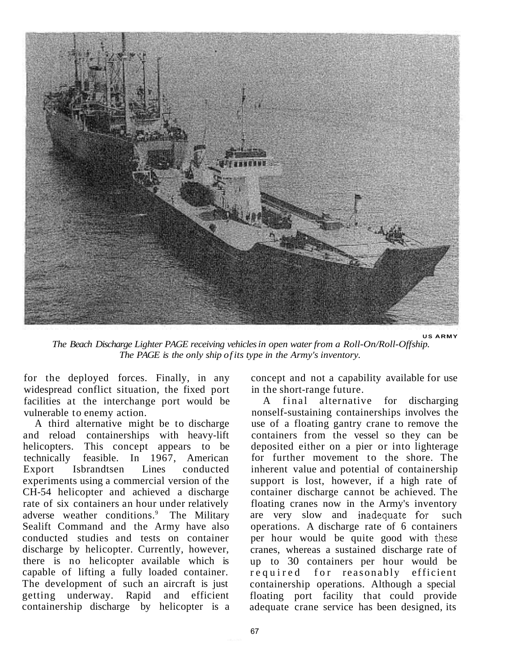

*The Beach Discharge Lighter PAGE receiving vehicles in open water from a Roll-On/Roll-Off ship. The PAGE is the only ship of its type in the Army's inventory.* 

for the deployed forces. Finally, in any widespread conflict situation, the fixed port facilities at the interchange port would be vulnerable to enemy action.

A third alternative might be to discharge and reload containerships with heavy-lift helicopters. This concept appears to be technically feasible. In 1967, American Export Isbrandtsen Lines conducted experiments using a commercial version of the CH-54 helicopter and achieved a discharge rate of six containers an hour under relatively adverse weather conditions.<sup>9</sup> The Military Sealift Command and the Army have also conducted studies and tests on container discharge by helicopter. Currently, however, there is no helicopter available which is capable of lifting a fully loaded container. The development of such an aircraft is just getting underway. Rapid and efficient containership discharge by helicopter is a concept and not a capability available for use in the short-range future.

A final alternative for discharging nonself-sustaining containerships involves the use of a floating gantry crane to remove the containers from the vessel so they can be deposited either on a pier or into lighterage for further movement to the shore. The inherent value and potential of containership support is lost, however, if a high rate of container discharge cannot be achieved. The floating cranes now in the Army's inventory are very slow and inadequate for such operations. A discharge rate of 6 containers per hour would be quite good with these cranes, whereas a sustained discharge rate of up to 30 containers per hour would be required for reasonably efficient containership operations. Although a special floating port facility that could provide adequate crane service has been designed, its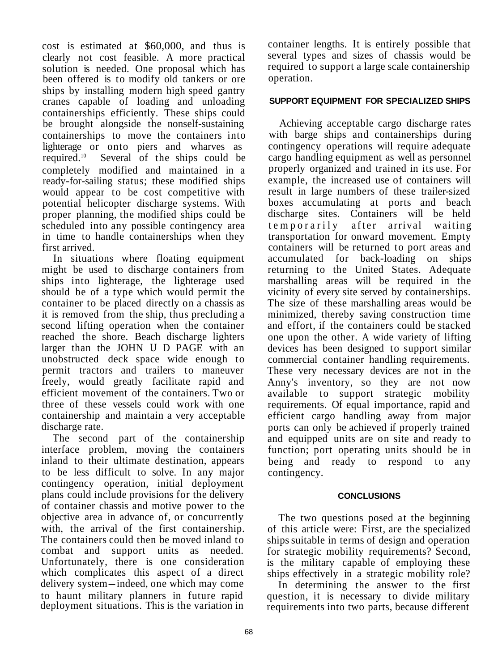cost is estimated at \$60,000, and thus is clearly not cost feasible. A more practical solution is needed. One proposal which has been offered is to modify old tankers or ore ships by installing modern high speed gantry cranes capable of loading and unloading containerships efficiently. These ships could be brought alongside the nonself-sustaining containerships to move the containers into lighterage or onto piers and wharves as<br>required.<sup>10</sup> Several of the ships could be Several of the ships could be completely modified and maintained in a ready-for-sailing status; these modified ships would appear to be cost competitive with potential helicopter discharge systems. With proper planning, the modified ships could be scheduled into any possible contingency area in time to handle containerships when they first arrived.

In situations where floating equipment might be used to discharge containers from ships into lighterage, the lighterage used should be of a type which would permit the container to be placed directly on a chassis as it is removed from the ship, thus precluding a second lifting operation when the container reached the shore. Beach discharge lighters larger than the JOHN U D PAGE with an unobstructed deck space wide enough to permit tractors and trailers to maneuver freely, would greatly facilitate rapid and efficient movement of the containers. Two or three of these vessels could work with one containership and maintain a very acceptable discharge rate.

The second part of the containership interface problem, moving the containers inland to their ultimate destination, appears to be less difficult to solve. In any major contingency operation, initial deployment plans could include provisions for the delivery of container chassis and motive power to the objective area in advance of, or concurrently with, the arrival of the first containership. The containers could then be moved inland to combat and support units as needed. Unfortunately, there is one consideration which complicates this aspect of a direct delivery system-indeed, one which may come to haunt military planners in future rapid deployment situations. This is the variation in

container lengths. It is entirely possible that several types and sizes of chassis would be required to support a large scale containership operation.

# **SUPPORT EQUIPMENT FOR SPECIALIZED SHIPS**

Achieving acceptable cargo discharge rates with barge ships and containerships during contingency operations will require adequate cargo handling equipment as well as personnel properly organized and trained in its use. For example, the increased use of containers will result in large numbers of these trailer-sized boxes accumulating at ports and beach discharge sites. Containers will be held temporarily after arrival waiting transportation for onward movement. Empty containers will be returned to port areas and accumulated for back-loading on ships returning to the United States. Adequate marshalling areas will be required in the vicinity of every site served by containerships. The size of these marshalling areas would be minimized, thereby saving construction time and effort, if the containers could be stacked one upon the other. A wide variety of lifting devices has been designed to support similar commercial container handling requirements. These very necessary devices are not in the Anny's inventory, so they are not now available to support strategic mobility requirements. Of equal importance, rapid and efficient cargo handling away from major ports can only be achieved if properly trained and equipped units are on site and ready to function; port operating units should be in being and ready to respond to any contingency.

#### **CONCLUSIONS**

The two questions posed at the beginning of this article were: First, are the specialized ships suitable in terms of design and operation for strategic mobility requirements? Second, is the military capable of employing these ships effectively in a strategic mobility role?

In determining the answer to the first question, it is necessary to divide military requirements into two parts, because different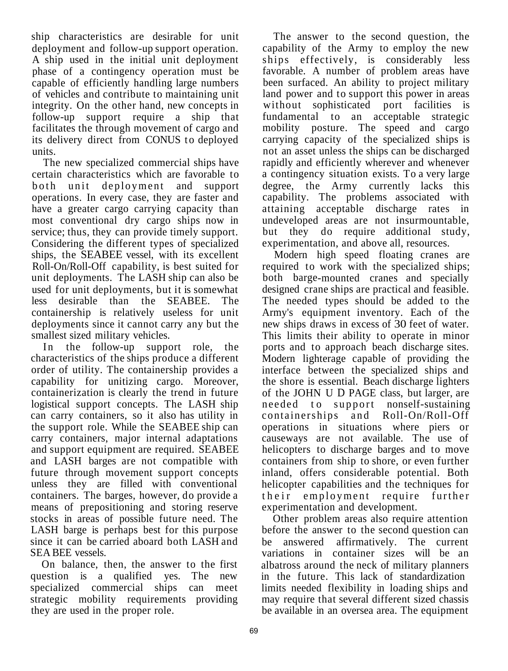ship characteristics are desirable for unit deployment and follow-up support operation. A ship used in the initial unit deployment phase of a contingency operation must be capable of efficiently handling large numbers of vehicles and contribute to maintaining unit integrity. On the other hand, new concepts in follow-up support require a ship that facilitates the through movement of cargo and its delivery direct from CONUS to deployed units.

The new specialized commercial ships have certain characteristics which are favorable to both unit deployment and support operations. In every case, they are faster and have a greater cargo carrying capacity than most conventional dry cargo ships now in service; thus, they can provide timely support. Considering the different types of specialized ships, the SEABEE vessel, with its excellent Roll-On/Roll-Off capability, is best suited for unit deployments. The LASH ship can also be used for unit deployments, but it is somewhat less desirable than the SEABEE. The containership is relatively useless for unit deployments since it cannot carry any but the smallest sized military vehicles.

In the follow-up support role, the characteristics of the ships produce a different order of utility. The containership provides a capability for unitizing cargo. Moreover, containerization is clearly the trend in future logistical support concepts. The LASH ship can carry containers, so it also has utility in the support role. While the SEABEE ship can carry containers, major internal adaptations and support equipment are required. SEABEE and LASH barges are not compatible with future through movement support concepts unless they are filled with conventional containers. The barges, however, do provide a means of prepositioning and storing reserve stocks in areas of possible future need. The LASH barge is perhaps best for this purpose since it can be carried aboard both LASH and SEA BEE vessels.

On balance, then, the answer to the first question is a qualified yes. The new specialized commercial ships can meet strategic mobility requirements providing they are used in the proper role.

The answer to the second question, the capability of the Army to employ the new ships effectively, is considerably less favorable. A number of problem areas have been surfaced. An ability to project military land power and to support this power in areas without sophisticated port facilities is fundamental to an acceptable strategic mobility posture. The speed and cargo carrying capacity of the specialized ships is not an asset unless the ships can be discharged rapidly and efficiently wherever and whenever a contingency situation exists. To a very large degree, the Army currently lacks this capability. The problems associated with attaining acceptable discharge rates in undeveloped areas are not insurmountable, but they do require additional study, experimentation, and above all, resources.

Modern high speed floating cranes are required to work with the specialized ships; both barge-mounted cranes and specially designed crane ships are practical and feasible. The needed types should be added to the Army's equipment inventory. Each of the new ships draws in excess of 30 feet of water. This limits their ability to operate in minor ports and to approach beach discharge sites. Modern lighterage capable of providing the interface between the specialized ships and the shore is essential. Beach discharge lighters of the JOHN U D PAGE class, but larger, are needed to support nonself-sustaining containerships and Roll-On/Roll-Off operations in situations where piers or causeways are not available. The use of helicopters to discharge barges and to move containers from ship to shore, or even further inland, offers considerable potential. Both helicopter capabilities and the techniques for their employment require further experimentation and development.

Other problem areas also require attention before the answer to the second question can be answered affirmatively. The current variations in container sizes will be an albatross around the neck of military planners in the future. This lack of standardization limits needed flexibility in loading ships and may require that several different sized chassis be available in an oversea area. The equipment